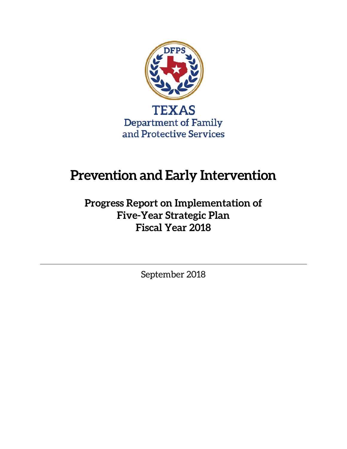

# **Prevention and Early Intervention**

**Progress Report on Implementation of Five-Year Strategic Plan Fiscal Year 2018**

September 2018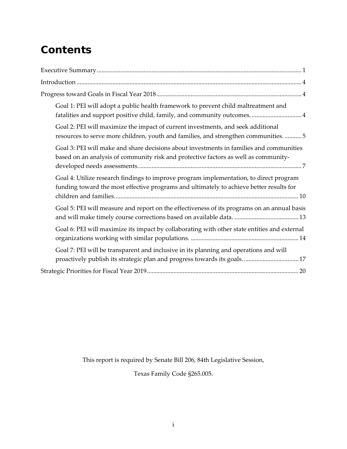# **Contents**

| Goal 1: PEI will adopt a public health framework to prevent child maltreatment and<br>fatalities and support positive child, family, and community outcomes 4                     |
|-----------------------------------------------------------------------------------------------------------------------------------------------------------------------------------|
| Goal 2: PEI will maximize the impact of current investments, and seek additional<br>resources to serve more children, youth and families, and strengthen communities5             |
| Goal 3: PEI will make and share decisions about investments in families and communities<br>based on an analysis of community risk and protective factors as well as community-    |
| Goal 4: Utilize research findings to improve program implementation, to direct program<br>funding toward the most effective programs and ultimately to achieve better results for |
| Goal 5: PEI will measure and report on the effectiveness of its programs on an annual basis                                                                                       |
| Goal 6: PEI will maximize its impact by collaborating with other state entities and external                                                                                      |
| Goal 7: PEI will be transparent and inclusive in its planning and operations and will<br>proactively publish its strategic plan and progress towards its goals17                  |
|                                                                                                                                                                                   |

This report is required by Senate Bill 206, 84th Legislative Session,

Texas Family Code §265.005.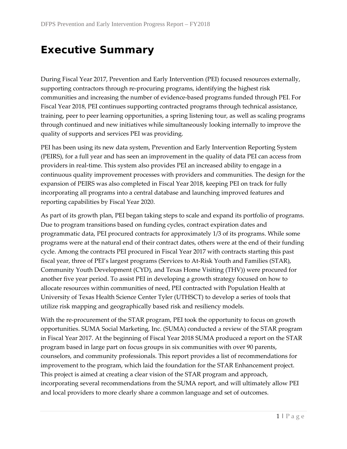# <span id="page-4-0"></span>**Executive Summary**

During Fiscal Year 2017, Prevention and Early Intervention (PEI) focused resources externally, supporting contractors through re-procuring programs, identifying the highest risk communities and increasing the number of evidence-based programs funded through PEI. For Fiscal Year 2018, PEI continues supporting contracted programs through technical assistance, training, peer to peer learning opportunities, a spring listening tour, as well as scaling programs through continued and new initiatives while simultaneously looking internally to improve the quality of supports and services PEI was providing.

PEI has been using its new data system, Prevention and Early Intervention Reporting System (PEIRS), for a full year and has seen an improvement in the quality of data PEI can access from providers in real-time. This system also provides PEI an increased ability to engage in a continuous quality improvement processes with providers and communities. The design for the expansion of PEIRS was also completed in Fiscal Year 2018, keeping PEI on track for fully incorporating all programs into a central database and launching improved features and reporting capabilities by Fiscal Year 2020.

As part of its growth plan, PEI began taking steps to scale and expand its portfolio of programs. Due to program transitions based on funding cycles, contract expiration dates and programmatic data, PEI procured contracts for approximately 1/3 of its programs. While some programs were at the natural end of their contract dates, others were at the end of their funding cycle. Among the contracts PEI procured in Fiscal Year 2017 with contracts starting this past fiscal year, three of PEI's largest programs (Services to At-Risk Youth and Families (STAR), Community Youth Development (CYD), and Texas Home Visiting (THV)) were procured for another five year period. To assist PEI in developing a growth strategy focused on how to allocate resources within communities of need, PEI contracted with Population Health at University of Texas Health Science Center Tyler (UTHSCT) to develop a series of tools that utilize risk mapping and geographically based risk and resiliency models.

With the re-procurement of the STAR program, PEI took the opportunity to focus on growth opportunities. SUMA Social Marketing, Inc. (SUMA) conducted a review of the STAR program in Fiscal Year 2017. At the beginning of Fiscal Year 2018 SUMA produced a report on the STAR program based in large part on focus groups in six communities with over 90 parents, counselors, and community professionals. This report provides a list of recommendations for improvement to the program, which laid the foundation for the STAR Enhancement project. This project is aimed at creating a clear vision of the STAR program and approach, incorporating several recommendations from the SUMA report, and will ultimately allow PEI and local providers to more clearly share a common language and set of outcomes.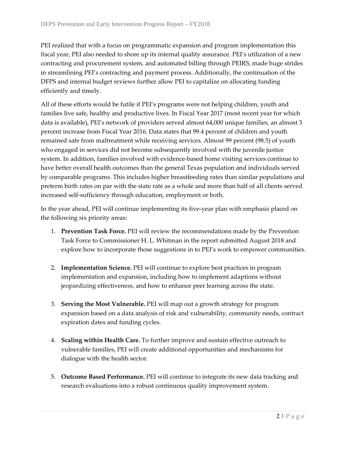PEI realized that with a focus on programmatic expansion and program implementation this fiscal year, PEI also needed to shore up its internal quality assurance. PEI's utilization of a new contracting and procurement system, and automated billing through PEIRS, made huge strides in streamlining PEI's contracting and payment process. Additionally, the continuation of the DFPS and internal budget reviews further allow PEI to capitalize on allocating funding efficiently and timely.

All of these efforts would be futile if PEI's programs were not helping children, youth and families live safe, healthy and productive lives. In Fiscal Year 2017 (most recent year for which data is available), PEI's network of providers served almost 64,000 unique families, an almost 3 percent increase from Fiscal Year 2016. Data states that 99.4 percent of children and youth remained safe from maltreatment while receiving services. Almost 99 percent (98.5) of youth who engaged in services did not become subsequently involved with the juvenile justice system. In addition, families involved with evidence-based home visiting services continue to have better overall health outcomes than the general Texas population and individuals served by comparable programs. This includes higher breastfeeding rates than similar populations and preterm birth rates on par with the state rate as a whole and more than half of all clients served increased self-sufficiency through education, employment or both.

In the year ahead, PEI will continue implementing its five-year plan with emphasis placed on the following six priority areas:

- 1. **Prevention Task Force.** PEI will review the recommendations made by the Prevention Task Force to Commissioner H. L. Whitman in the report submitted August 2018 and explore how to incorporate those suggestions in to PEI's work to empower communities.
- 2. **Implementation Science.** PEI will continue to explore best practices in program implementation and expansion, including how to implement adaptions without jeopardizing effectiveness, and how to enhance peer learning across the state.
- 3. **Serving the Most Vulnerable.** PEI will map out a growth strategy for program expansion based on a data analysis of risk and vulnerability, community needs, contract expiration dates and funding cycles.
- 4. **Scaling within Health Care.** To further improve and sustain effective outreach to vulnerable families, PEI will create additional opportunities and mechanisms for dialogue with the health sector.
- 5. **Outcome Based Performance.** PEI will continue to integrate its new data tracking and research evaluations into a robust continuous quality improvement system.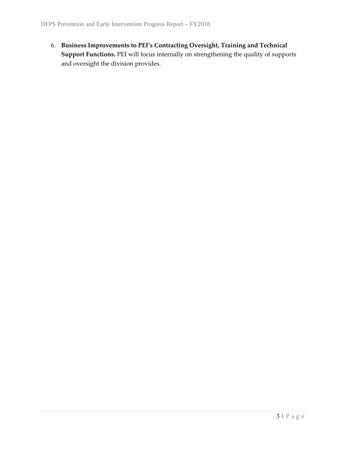6. **Business Improvements to PEI's Contracting Oversight, Training and Technical Support Functions.** PEI will focus internally on strengthening the quality of supports and oversight the division provides.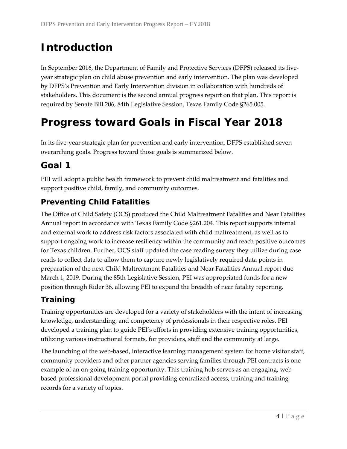# <span id="page-7-0"></span>**Introduction**

In September 2016, the Department of Family and Protective Services (DFPS) released its fiveyear strategic plan on child abuse prevention and early intervention. The plan was developed by DFPS's Prevention and Early Intervention division in collaboration with hundreds of stakeholders. This document is the second annual progress report on that plan. This report is required by Senate Bill 206, 84th Legislative Session, Texas Family Code §265.005.

# <span id="page-7-1"></span>**Progress toward Goals in Fiscal Year 2018**

In its five-year strategic plan for prevention and early intervention, DFPS established seven overarching goals. Progress toward those goals is summarized below.

# <span id="page-7-2"></span>**Goal 1**

PEI will adopt a public health framework to prevent child maltreatment and fatalities and support positive child, family, and community outcomes.

# **Preventing Child Fatalities**

The Office of Child Safety (OCS) produced the Child Maltreatment Fatalities and Near Fatalities Annual report in accordance with Texas Family Code §261.204. This report supports internal and external work to address risk factors associated with child maltreatment, as well as to support ongoing work to increase resiliency within the community and reach positive outcomes for Texas children. Further, OCS staff updated the case reading survey they utilize during case reads to collect data to allow them to capture newly legislatively required data points in preparation of the next Child Maltreatment Fatalities and Near Fatalities Annual report due March 1, 2019. During the 85th Legislative Session, PEI was appropriated funds for a new position through Rider 36, allowing PEI to expand the breadth of near fatality reporting.

## **Training**

Training opportunities are developed for a variety of stakeholders with the intent of increasing knowledge, understanding, and competency of professionals in their respective roles. PEI developed a training plan to guide PEI's efforts in providing extensive training opportunities, utilizing various instructional formats, for providers, staff and the community at large.

The launching of the web-based, interactive learning management system for home visitor staff, community providers and other partner agencies serving families through PEI contracts is one example of an on-going training opportunity. This training hub serves as an engaging, webbased professional development portal providing centralized access, training and training records for a variety of topics.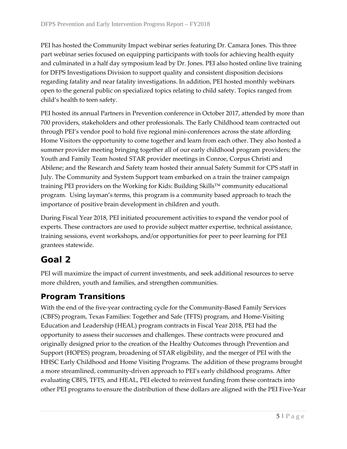PEI has hosted the Community Impact webinar series featuring Dr. Camara Jones. This three part webinar series focused on equipping participants with tools for achieving health equity and culminated in a half day symposium lead by Dr. Jones. PEI also hosted online live training for DFPS Investigations Division to support quality and consistent disposition decisions regarding fatality and near fatality investigations. In addition, PEI hosted monthly webinars open to the general public on specialized topics relating to child safety. Topics ranged from child's health to teen safety.

PEI hosted its annual Partners in Prevention conference in October 2017, attended by more than 700 providers, stakeholders and other professionals. The Early Childhood team contracted out through PEI's vendor pool to hold five regional mini-conferences across the state affording Home Visitors the opportunity to come together and learn from each other. They also hosted a summer provider meeting bringing together all of our early childhood program providers; the Youth and Family Team hosted STAR provider meetings in Conroe, Corpus Christi and Abilene; and the Research and Safety team hosted their annual Safety Summit for CPS staff in July. The Community and System Support team embarked on a train the trainer campaign training PEI providers on the Working for Kids: Building Skills™ community educational program. Using layman's terms, this program is a community based approach to teach the importance of positive brain development in children and youth.

During Fiscal Year 2018, PEI initiated procurement activities to expand the vendor pool of experts. These contractors are used to provide subject matter expertise, technical assistance, training sessions, event workshops, and/or opportunities for peer to peer learning for PEI grantees statewide.

# <span id="page-8-0"></span>**Goal 2**

PEI will maximize the impact of current investments, and seek additional resources to serve more children, youth and families, and strengthen communities.

# **Program Transitions**

With the end of the five-year contracting cycle for the Community-Based Family Services (CBFS) program, Texas Families: Together and Safe (TFTS) program, and Home-Visiting Education and Leadership (HEAL) program contracts in Fiscal Year 2018, PEI had the opportunity to assess their successes and challenges. These contracts were procured and originally designed prior to the creation of the Healthy Outcomes through Prevention and Support (HOPES) program, broadening of STAR eligibility, and the merger of PEI with the HHSC Early Childhood and Home Visiting Programs. The addition of these programs brought a more streamlined, community-driven approach to PEI's early childhood programs. After evaluating CBFS, TFTS, and HEAL, PEI elected to reinvest funding from these contracts into other PEI programs to ensure the distribution of these dollars are aligned with the PEI Five-Year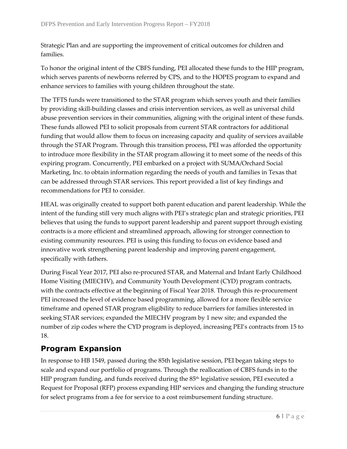Strategic Plan and are supporting the improvement of critical outcomes for children and families.

To honor the original intent of the CBFS funding, PEI allocated these funds to the HIP program, which serves parents of newborns referred by CPS, and to the HOPES program to expand and enhance services to families with young children throughout the state.

The TFTS funds were transitioned to the STAR program which serves youth and their families by providing skill-building classes and crisis intervention services, as well as universal child abuse prevention services in their communities, aligning with the original intent of these funds. These funds allowed PEI to solicit proposals from current STAR contractors for additional funding that would allow them to focus on increasing capacity and quality of services available through the STAR Program. Through this transition process, PEI was afforded the opportunity to introduce more flexibility in the STAR program allowing it to meet some of the needs of this expiring program. Concurrently, PEI embarked on a project with SUMA/Orchard Social Marketing, Inc. to obtain information regarding the needs of youth and families in Texas that can be addressed through STAR services. This report provided a list of key findings and recommendations for PEI to consider.

HEAL was originally created to support both parent education and parent leadership. While the intent of the funding still very much aligns with PEI's strategic plan and strategic priorities, PEI believes that using the funds to support parent leadership and parent support through existing contracts is a more efficient and streamlined approach, allowing for stronger connection to existing community resources. PEI is using this funding to focus on evidence based and innovative work strengthening parent leadership and improving parent engagement, specifically with fathers.

During Fiscal Year 2017, PEI also re-procured STAR, and Maternal and Infant Early Childhood Home Visiting (MIECHV), and Community Youth Development (CYD) program contracts, with the contracts effective at the beginning of Fiscal Year 2018. Through this re-procurement PEI increased the level of evidence based programming, allowed for a more flexible service timeframe and opened STAR program eligibility to reduce barriers for families interested in seeking STAR services; expanded the MIECHV program by 1 new site; and expanded the number of zip codes where the CYD program is deployed, increasing PEI's contracts from 15 to 18.

## **Program Expansion**

In response to HB 1549, passed during the 85th legislative session, PEI began taking steps to scale and expand our portfolio of programs. Through the reallocation of CBFS funds in to the HIP program funding, and funds received during the  $85<sup>th</sup>$  legislative session, PEI executed a Request for Proposal (RFP) process expanding HIP services and changing the funding structure for select programs from a fee for service to a cost reimbursement funding structure.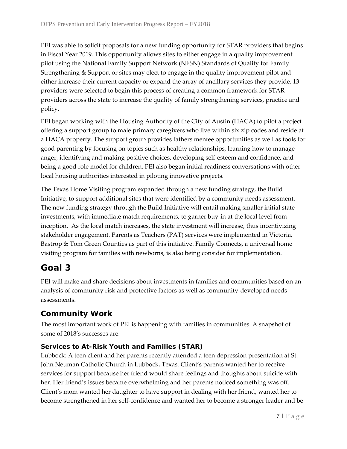PEI was able to solicit proposals for a new funding opportunity for STAR providers that begins in Fiscal Year 2019. This opportunity allows sites to either engage in a quality improvement pilot using the National Family Support Network (NFSN) Standards of Quality for Family Strengthening & Support or sites may elect to engage in the quality improvement pilot and either increase their current capacity or expand the array of ancillary services they provide. 13 providers were selected to begin this process of creating a common framework for STAR providers across the state to increase the quality of family strengthening services, practice and policy.

PEI began working with the Housing Authority of the City of Austin (HACA) to pilot a project offering a support group to male primary caregivers who live within six zip codes and reside at a HACA property. The support group provides fathers mentee opportunities as well as tools for good parenting by focusing on topics such as healthy relationships, learning how to manage anger, identifying and making positive choices, developing self-esteem and confidence, and being a good role model for children. PEI also began initial readiness conversations with other local housing authorities interested in piloting innovative projects.

The Texas Home Visiting program expanded through a new funding strategy, the Build Initiative, to support additional sites that were identified by a community needs assessment. The new funding strategy through the Build Initiative will entail making smaller initial state investments, with immediate match requirements, to garner buy-in at the local level from inception. As the local match increases, the state investment will increase, thus incentivizing stakeholder engagement. Parents as Teachers (PAT) services were implemented in Victoria, Bastrop & Tom Green Counties as part of this initiative. Family Connects, a universal home visiting program for families with newborns, is also being consider for implementation.

# <span id="page-10-0"></span>**Goal 3**

PEI will make and share decisions about investments in families and communities based on an analysis of community risk and protective factors as well as community-developed needs assessments.

# **Community Work**

The most important work of PEI is happening with families in communities. A snapshot of some of 2018's successes are:

#### **Services to At-Risk Youth and Families (STAR)**

Lubbock: A teen client and her parents recently attended a teen depression presentation at St. John Neuman Catholic Church in Lubbock, Texas. Client's parents wanted her to receive services for support because her friend would share feelings and thoughts about suicide with her. Her friend's issues became overwhelming and her parents noticed something was off. Client's mom wanted her daughter to have support in dealing with her friend, wanted her to become strengthened in her self-confidence and wanted her to become a stronger leader and be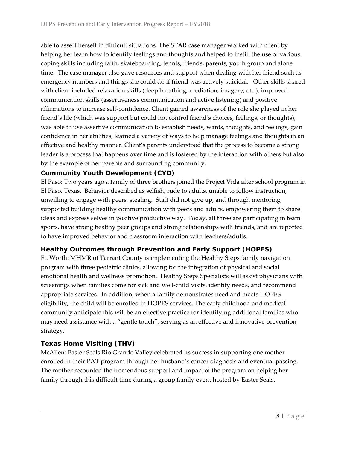able to assert herself in difficult situations. The STAR case manager worked with client by helping her learn how to identify feelings and thoughts and helped to instill the use of various coping skills including faith, skateboarding, tennis, friends, parents, youth group and alone time. The case manager also gave resources and support when dealing with her friend such as emergency numbers and things she could do if friend was actively suicidal. Other skills shared with client included relaxation skills (deep breathing, mediation, imagery, etc.), improved communication skills (assertiveness communication and active listening) and positive affirmations to increase self-confidence. Client gained awareness of the role she played in her friend's life (which was support but could not control friend's choices, feelings, or thoughts), was able to use assertive communication to establish needs, wants, thoughts, and feelings, gain confidence in her abilities, learned a variety of ways to help manage feelings and thoughts in an effective and healthy manner. Client's parents understood that the process to become a strong leader is a process that happens over time and is fostered by the interaction with others but also by the example of her parents and surrounding community.

#### **Community Youth Development (CYD)**

El Paso: Two years ago a family of three brothers joined the Project Vida after school program in El Paso, Texas. Behavior described as selfish, rude to adults, unable to follow instruction, unwilling to engage with peers, stealing. Staff did not give up, and through mentoring, supported building healthy communication with peers and adults, empowering them to share ideas and express selves in positive productive way. Today, all three are participating in team sports, have strong healthy peer groups and strong relationships with friends, and are reported to have improved behavior and classroom interaction with teachers/adults.

#### **Healthy Outcomes through Prevention and Early Support (HOPES)**

Ft. Worth: MHMR of Tarrant County is implementing the Healthy Steps family navigation program with three pediatric clinics, allowing for the integration of physical and social emotional health and wellness promotion. Healthy Steps Specialists will assist physicians with screenings when families come for sick and well-child visits, identify needs, and recommend appropriate services. In addition, when a family demonstrates need and meets HOPES eligibility, the child will be enrolled in HOPES services. The early childhood and medical community anticipate this will be an effective practice for identifying additional families who may need assistance with a "gentle touch", serving as an effective and innovative prevention strategy.

#### **Texas Home Visiting (THV)**

McAllen: Easter Seals Rio Grande Valley celebrated its success in supporting one mother enrolled in their PAT program through her husband's cancer diagnosis and eventual passing. The mother recounted the tremendous support and impact of the program on helping her family through this difficult time during a group family event hosted by Easter Seals.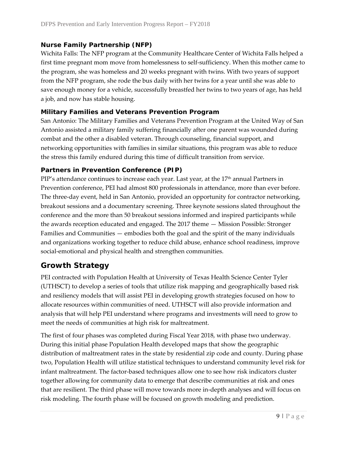#### **Nurse Family Partnership (NFP)**

Wichita Falls: The NFP program at the Community Healthcare Center of Wichita Falls helped a first time pregnant mom move from homelessness to self-sufficiency. When this mother came to the program, she was homeless and 20 weeks pregnant with twins. With two years of support from the NFP program, she rode the bus daily with her twins for a year until she was able to save enough money for a vehicle, successfully breastfed her twins to two years of age, has held a job, and now has stable housing.

#### **Military Families and Veterans Prevention Program**

San Antonio: The Military Families and Veterans Prevention Program at the United Way of San Antonio assisted a military family suffering financially after one parent was wounded during combat and the other a disabled veteran. Through counseling, financial support, and networking opportunities with families in similar situations, this program was able to reduce the stress this family endured during this time of difficult transition from service.

#### **Partners in Prevention Conference (PIP)**

PIP's attendance continues to increase each year. Last year, at the 17<sup>th</sup> annual Partners in Prevention conference, PEI had almost 800 professionals in attendance, more than ever before. The three-day event, held in San Antonio, provided an opportunity for contractor networking, breakout sessions and a documentary screening. Three keynote sessions slated throughout the conference and the more than 50 breakout sessions informed and inspired participants while the awards reception educated and engaged. The 2017 theme — Mission Possible: Stronger Families and Communities — embodies both the goal and the spirit of the many individuals and organizations working together to reduce child abuse, enhance school readiness, improve social-emotional and physical health and strengthen communities.

## **Growth Strategy**

PEI contracted with Population Health at University of Texas Health Science Center Tyler (UTHSCT) to develop a series of tools that utilize risk mapping and geographically based risk and resiliency models that will assist PEI in developing growth strategies focused on how to allocate resources within communities of need. UTHSCT will also provide information and analysis that will help PEI understand where programs and investments will need to grow to meet the needs of communities at high risk for maltreatment.

The first of four phases was completed during Fiscal Year 2018, with phase two underway. During this initial phase Population Health developed maps that show the geographic distribution of maltreatment rates in the state by residential zip code and county. During phase two, Population Health will utilize statistical techniques to understand community level risk for infant maltreatment. The factor-based techniques allow one to see how risk indicators cluster together allowing for community data to emerge that describe communities at risk and ones that are resilient. The third phase will move towards more in-depth analyses and will focus on risk modeling. The fourth phase will be focused on growth modeling and prediction.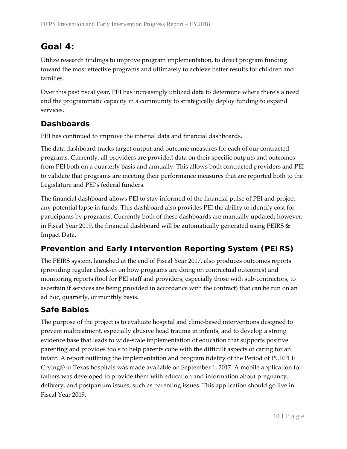# <span id="page-13-0"></span>**Goal 4:**

Utilize research findings to improve program implementation, to direct program funding toward the most effective programs and ultimately to achieve better results for children and families.

Over this past fiscal year, PEI has increasingly utilized data to determine where there's a need and the programmatic capacity in a community to strategically deploy funding to expand services.

# **Dashboards**

PEI has continued to improve the internal data and financial dashboards.

The data dashboard tracks target output and outcome measures for each of our contracted programs. Currently, all providers are provided data on their specific outputs and outcomes from PEI both on a quarterly basis and annually. This allows both contracted providers and PEI to validate that programs are meeting their performance measures that are reported both to the Legislature and PEI's federal funders.

The financial dashboard allows PEI to stay informed of the financial pulse of PEI and project any potential lapse in funds. This dashboard also provides PEI the ability to identify cost for participants by programs. Currently both of these dashboards are manually updated; however, in Fiscal Year 2019, the financial dashboard will be automatically generated using PEIRS & Impact Data.

# **Prevention and Early Intervention Reporting System (PEIRS)**

The PEIRS system, launched at the end of Fiscal Year 2017, also produces outcomes reports (providing regular check-in on how programs are doing on contractual outcomes) and monitoring reports (tool for PEI staff and providers, especially those with sub-contractors, to ascertain if services are being provided in accordance with the contract) that can be run on an ad hoc, quarterly, or monthly basis.

## **Safe Babies**

The purpose of the project is to evaluate hospital and clinic-based interventions designed to prevent maltreatment, especially abusive head trauma in infants, and to develop a strong evidence base that leads to wide-scale implementation of education that supports positive parenting and provides tools to help parents cope with the difficult aspects of caring for an infant. A report outlining the implementation and program fidelity of the Period of PURPLE Crying® in Texas hospitals was made available on September 1, 2017. A mobile application for fathers was developed to provide them with education and information about pregnancy, delivery, and postpartum issues, such as parenting issues. This application should go live in Fiscal Year 2019.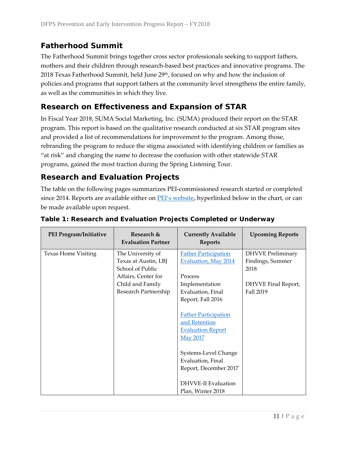# **Fatherhood Summit**

The Fatherhood Summit brings together cross sector professionals seeking to support fathers, mothers and their children through research-based best practices and innovative programs. The 2018 Texas Fatherhood Summit, held June 29<sup>th</sup>, focused on why and how the inclusion of policies and programs that support fathers at the community level strengthens the entire family, as well as the communities in which they live.

### **Research on Effectiveness and Expansion of STAR**

In Fiscal Year 2018, SUMA Social Marketing, Inc. (SUMA) produced their report on the STAR program. This report is based on the qualitative research conducted at six STAR program sites and provided a list of recommendations for improvement to the program. Among those, rebranding the program to reduce the stigma associated with identifying children or families as "at risk" and changing the name to decrease the confusion with other statewide STAR programs, gained the most traction during the Spring Listening Tour.

### **Research and Evaluation Projects**

The table on the following pages summarizes PEI-commissioned research started or completed since 2014. Reports are available either on [PEI's website,](https://www.dfps.state.tx.us/About_DFPS/Reports_and_Presentations/PEI/default.asp) hyperlinked below in the chart, or can be made available upon request.

| PEI Program/Initiative     | Research &<br><b>Evaluation Partner</b> | <b>Currently Available</b><br><b>Reports</b> | <b>Upcoming Reports</b>  |
|----------------------------|-----------------------------------------|----------------------------------------------|--------------------------|
| <b>Texas Home Visiting</b> | The University of                       | <b>Father Participation</b>                  | <b>DHVVE</b> Preliminary |
|                            | Texas at Austin, LBJ                    | <b>Evaluation, May 2014</b>                  | Findings, Summer         |
|                            | School of Public                        |                                              | 2018                     |
|                            | Affairs, Center for                     | Process                                      |                          |
|                            | Child and Family                        | Implementation                               | DHVVE Final Report,      |
|                            | Research Partnership                    | Evaluation, Final                            | Fall 2019                |
|                            |                                         | Report, Fall 2016                            |                          |
|                            |                                         |                                              |                          |
|                            |                                         | <b>Father Participation</b>                  |                          |
|                            |                                         | and Retention                                |                          |
|                            |                                         | <b>Evaluation Report</b>                     |                          |
|                            |                                         | <b>May 2017</b>                              |                          |
|                            |                                         |                                              |                          |
|                            |                                         | Systems-Level Change                         |                          |
|                            |                                         | Evaluation, Final                            |                          |
|                            |                                         | Report, December 2017                        |                          |
|                            |                                         |                                              |                          |
|                            |                                         | DHVVE-II Evaluation                          |                          |
|                            |                                         | Plan, Winter 2018                            |                          |

#### **Table 1: Research and Evaluation Projects Completed or Underway**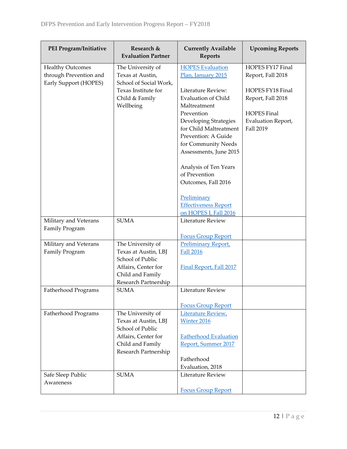| PEI Program/Initiative                                                     | Research &<br><b>Evaluation Partner</b>                         | <b>Currently Available</b><br><b>Reports</b>                                                                                          | <b>Upcoming Reports</b>                                      |
|----------------------------------------------------------------------------|-----------------------------------------------------------------|---------------------------------------------------------------------------------------------------------------------------------------|--------------------------------------------------------------|
| <b>Healthy Outcomes</b><br>through Prevention and<br>Early Support (HOPES) | The University of<br>Texas at Austin,<br>School of Social Work, | <b>HOPES Evaluation</b><br>Plan, January 2015                                                                                         | HOPES FY17 Final<br>Report, Fall 2018                        |
|                                                                            | Texas Institute for<br>Child & Family<br>Wellbeing              | Literature Review:<br><b>Evaluation of Child</b><br>Maltreatment                                                                      | HOPES FY18 Final<br>Report, Fall 2018                        |
|                                                                            |                                                                 | Prevention<br>Developing Strategies<br>for Child Maltreatment<br>Prevention: A Guide<br>for Community Needs<br>Assessments, June 2015 | <b>HOPES Final</b><br><b>Evaluation Report,</b><br>Fall 2019 |
|                                                                            |                                                                 | Analysis of Ten Years<br>of Prevention<br>Outcomes, Fall 2016                                                                         |                                                              |
|                                                                            |                                                                 | Preliminary<br><b>Effectiveness Report</b><br>on HOPES I, Fall 2016                                                                   |                                                              |
| Military and Veterans<br>Family Program                                    | <b>SUMA</b>                                                     | Literature Review<br><b>Focus Group Report</b>                                                                                        |                                                              |
| Military and Veterans<br>Family Program                                    | The University of<br>Texas at Austin, LBJ<br>School of Public   | <b>Preliminary Report,</b><br><b>Fall 2016</b>                                                                                        |                                                              |
|                                                                            | Affairs, Center for<br>Child and Family<br>Research Partnership | Final Report, Fall 2017                                                                                                               |                                                              |
| Fatherhood Programs                                                        | <b>SUMA</b>                                                     | Literature Review<br><b>Focus Group Report</b>                                                                                        |                                                              |
| Fatherhood Programs                                                        | The University of<br>Texas at Austin, LBJ<br>School of Public   | Literature Review,<br>Winter 2016                                                                                                     |                                                              |
|                                                                            | Affairs, Center for<br>Child and Family<br>Research Partnership | <b>Fatherhood Evaluation</b><br>Report, Summer 2017                                                                                   |                                                              |
|                                                                            |                                                                 | Fatherhood<br>Evaluation, 2018                                                                                                        |                                                              |
| Safe Sleep Public<br>Awareness                                             | <b>SUMA</b>                                                     | Literature Review<br><b>Focus Group Report</b>                                                                                        |                                                              |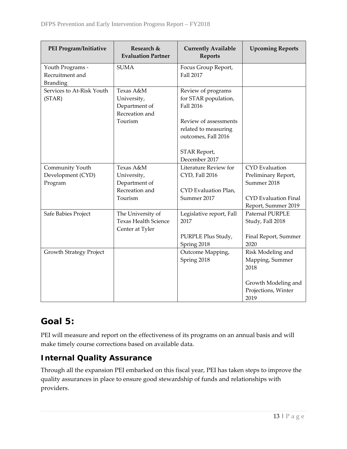| PEI Program/Initiative                                 | Research &<br><b>Evaluation Partner</b>                                | <b>Currently Available</b><br><b>Reports</b>                                     | <b>Upcoming Reports</b>                            |
|--------------------------------------------------------|------------------------------------------------------------------------|----------------------------------------------------------------------------------|----------------------------------------------------|
| Youth Programs -<br>Recruitment and<br><b>Branding</b> | <b>SUMA</b>                                                            | Focus Group Report,<br>Fall 2017                                                 |                                                    |
| Services to At-Risk Youth<br>(STAR)                    | Texas A&M<br>University,<br>Department of<br>Recreation and<br>Tourism | Review of programs<br>for STAR population,<br>Fall 2016<br>Review of assessments |                                                    |
|                                                        |                                                                        | related to measuring<br>outcomes, Fall 2016<br>STAR Report,<br>December 2017     |                                                    |
| Community Youth                                        | Texas A&M                                                              | Literature Review for                                                            | <b>CYD</b> Evaluation                              |
| Development (CYD)                                      | University,                                                            | CYD, Fall 2016                                                                   | Preliminary Report,                                |
| Program                                                | Department of                                                          |                                                                                  | Summer 2018                                        |
|                                                        | Recreation and                                                         | CYD Evaluation Plan,                                                             |                                                    |
|                                                        | Tourism                                                                | Summer 2017                                                                      | <b>CYD</b> Evaluation Final<br>Report, Summer 2019 |
| Safe Babies Project                                    | The University of<br><b>Texas Health Science</b><br>Center at Tyler    | Legislative report, Fall<br>2017                                                 | Paternal PURPLE<br>Study, Fall 2018                |
|                                                        |                                                                        | PURPLE Plus Study,<br>Spring 2018                                                | Final Report, Summer<br>2020                       |
| <b>Growth Strategy Project</b>                         |                                                                        | Outcome Mapping,<br>Spring 2018                                                  | Risk Modeling and<br>Mapping, Summer<br>2018       |
|                                                        |                                                                        |                                                                                  | Growth Modeling and<br>Projections, Winter<br>2019 |

# <span id="page-16-0"></span>**Goal 5:**

PEI will measure and report on the effectiveness of its programs on an annual basis and will make timely course corrections based on available data.

# **Internal Quality Assurance**

Through all the expansion PEI embarked on this fiscal year, PEI has taken steps to improve the quality assurances in place to ensure good stewardship of funds and relationships with providers.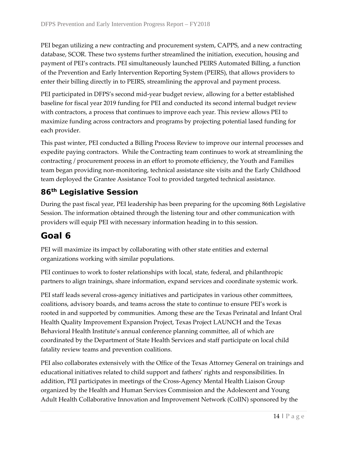PEI began utilizing a new contracting and procurement system, CAPPS, and a new contracting database, SCOR. These two systems further streamlined the initiation, execution, housing and payment of PEI's contracts. PEI simultaneously launched PEIRS Automated Billing, a function of the Prevention and Early Intervention Reporting System (PEIRS), that allows providers to enter their billing directly in to PEIRS, streamlining the approval and payment process.

PEI participated in DFPS's second mid-year budget review, allowing for a better established baseline for fiscal year 2019 funding for PEI and conducted its second internal budget review with contractors, a process that continues to improve each year. This review allows PEI to maximize funding across contractors and programs by projecting potential lased funding for each provider.

This past winter, PEI conducted a Billing Process Review to improve our internal processes and expedite paying contractors. While the Contracting team continues to work at streamlining the contracting / procurement process in an effort to promote efficiency, the Youth and Families team began providing non-monitoring, technical assistance site visits and the Early Childhood team deployed the Grantee Assistance Tool to provided targeted technical assistance.

## **86th Legislative Session**

During the past fiscal year, PEI leadership has been preparing for the upcoming 86th Legislative Session. The information obtained through the listening tour and other communication with providers will equip PEI with necessary information heading in to this session.

# <span id="page-17-0"></span>**Goal 6**

PEI will maximize its impact by collaborating with other state entities and external organizations working with similar populations.

PEI continues to work to foster relationships with local, state, federal, and philanthropic partners to align trainings, share information, expand services and coordinate systemic work.

PEI staff leads several cross-agency initiatives and participates in various other committees, coalitions, advisory boards, and teams across the state to continue to ensure PEI's work is rooted in and supported by communities. Among these are the Texas Perinatal and Infant Oral Health Quality Improvement Expansion Project, Texas Project LAUNCH and the Texas Behavioral Health Institute's annual conference planning committee, all of which are coordinated by the Department of State Health Services and staff participate on local child fatality review teams and prevention coalitions.

PEI also collaborates extensively with the Office of the Texas Attorney General on trainings and educational initiatives related to child support and fathers' rights and responsibilities. In addition, PEI participates in meetings of the Cross-Agency Mental Health Liaison Group organized by the Health and Human Services Commission and the Adolescent and Young Adult Health Collaborative Innovation and Improvement Network (CoIIN) sponsored by the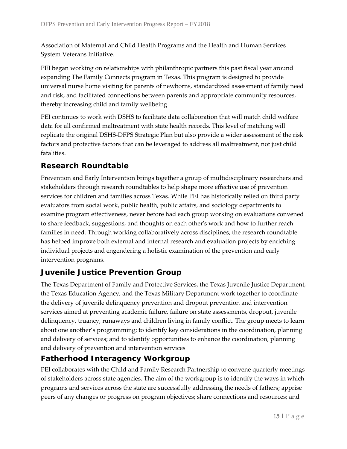Association of Maternal and Child Health Programs and the Health and Human Services System Veterans Initiative.

PEI began working on relationships with philanthropic partners this past fiscal year around expanding The Family Connects program in Texas. This program is designed to provide universal nurse home visiting for parents of newborns, standardized assessment of family need and risk, and facilitated connections between parents and appropriate community resources, thereby increasing child and family wellbeing.

PEI continues to work with DSHS to facilitate data collaboration that will match child welfare data for all confirmed maltreatment with state health records. This level of matching will replicate the original DSHS-DFPS Strategic Plan but also provide a wider assessment of the risk factors and protective factors that can be leveraged to address all maltreatment, not just child fatalities.

# **Research Roundtable**

Prevention and Early Intervention brings together a group of multidisciplinary researchers and stakeholders through research roundtables to help shape more effective use of prevention services for children and families across Texas. While PEI has historically relied on third party evaluators from social work, public health, public affairs, and sociology departments to examine program effectiveness, never before had each group working on evaluations convened to share feedback, suggestions, and thoughts on each other's work and how to further reach families in need. Through working collaboratively across disciplines, the research roundtable has helped improve both external and internal research and evaluation projects by enriching individual projects and engendering a holistic examination of the prevention and early intervention programs.

## **Juvenile Justice Prevention Group**

The Texas Department of Family and Protective Services, the Texas Juvenile Justice Department, the Texas Education Agency, and the Texas Military Department work together to coordinate the delivery of juvenile delinquency prevention and dropout prevention and intervention services aimed at preventing academic failure, failure on state assessments, dropout, juvenile delinquency, truancy, runaways and children living in family conflict. The group meets to learn about one another's programming; to identify key considerations in the coordination, planning and delivery of services; and to identify opportunities to enhance the coordination, planning and delivery of prevention and intervention services

## **Fatherhood Interagency Workgroup**

PEI collaborates with the Child and Family Research Partnership to convene quarterly meetings of stakeholders across state agencies. The aim of the workgroup is to identify the ways in which programs and services across the state are successfully addressing the needs of fathers; apprise peers of any changes or progress on program objectives; share connections and resources; and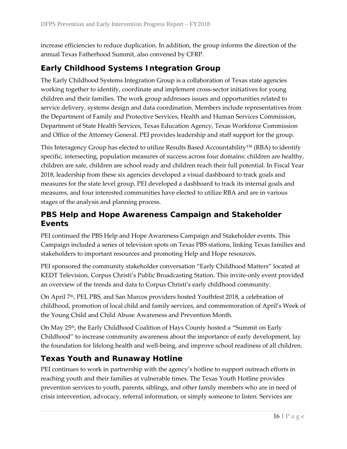increase efficiencies to reduce duplication. In addition, the group informs the direction of the annual Texas Fatherhood Summit, also convened by CFRP.

# **Early Childhood Systems Integration Group**

The Early Childhood Systems Integration Group is a collaboration of Texas state agencies working together to identify, coordinate and implement cross-sector initiatives for young children and their families. The work group addresses issues and opportunities related to service delivery, systems design and data coordination. Members include representatives from the Department of Family and Protective Services, Health and Human Services Commission, Department of State Health Services, Texas Education Agency, Texas Workforce Commission and Office of the Attorney General. PEI provides leadership and staff support for the group.

This Interagency Group has elected to utilize Results Based Accountability™ (RBA) to identify specific, intersecting, population measures of success across four domains: children are healthy, children are safe, children are school ready and children reach their full potential. In Fiscal Year 2018, leadership from these six agencies developed a visual dashboard to track goals and measures for the state level group, PEI developed a dashboard to track its internal goals and measures, and four interested communities have elected to utilize RBA and are in various stages of the analysis and planning process.

## **PBS Help and Hope Awareness Campaign and Stakeholder Events**

PEI continued the PBS Help and Hope Awareness Campaign and Stakeholder events. This Campaign included a series of television spots on Texas PBS stations, linking Texas families and stakeholders to important resources and promoting Help and Hope resources.

PEI sponsored the community stakeholder conversation "Early Childhood Matters" located at KEDT Television, Corpus Christi's Public Broadcasting Station. This invite-only event provided an overview of the trends and data to Corpus Christi's early childhood community.

On April 7<sup>th</sup>, PEI, PBS, and San Marcos providers hosted Youthfest 2018, a celebration of childhood, promotion of local child and family services, and commemoration of April's Week of the Young Child and Child Abuse Awareness and Prevention Month.

On May 25<sup>th</sup>, the Early Childhood Coalition of Hays County hosted a "Summit on Early Childhood" to increase community awareness about the importance of early development, lay the foundation for lifelong health and well-being, and improve school readiness of all children.

# **Texas Youth and Runaway Hotline**

PEI continues to work in partnership with the agency's hotline to support outreach efforts in reaching youth and their families at vulnerable times. The Texas Youth Hotline provides prevention services to youth, parents, siblings, and other family members who are in need of crisis intervention, advocacy, referral information, or simply someone to listen. Services are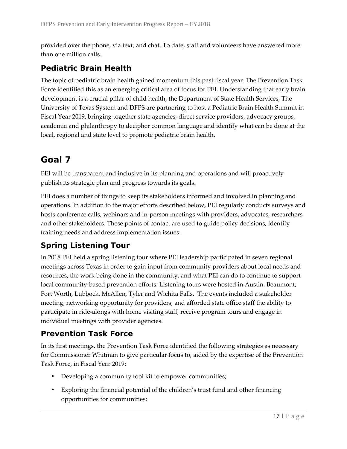provided over the phone, via text, and chat. To date, staff and volunteers have answered more than one million calls.

# **Pediatric Brain Health**

The topic of pediatric brain health gained momentum this past fiscal year. The Prevention Task Force identified this as an emerging critical area of focus for PEI. Understanding that early brain development is a crucial pillar of child health, the Department of State Health Services, The University of Texas System and DFPS are partnering to host a Pediatric Brain Health Summit in Fiscal Year 2019, bringing together state agencies, direct service providers, advocacy groups, academia and philanthropy to decipher common language and identify what can be done at the local, regional and state level to promote pediatric brain health.

# <span id="page-20-0"></span>**Goal 7**

PEI will be transparent and inclusive in its planning and operations and will proactively publish its strategic plan and progress towards its goals.

PEI does a number of things to keep its stakeholders informed and involved in planning and operations. In addition to the major efforts described below, PEI regularly conducts surveys and hosts conference calls, webinars and in-person meetings with providers, advocates, researchers and other stakeholders. These points of contact are used to guide policy decisions, identify training needs and address implementation issues.

# **Spring Listening Tour**

In 2018 PEI held a spring listening tour where PEI leadership participated in seven regional meetings across Texas in order to gain input from community providers about local needs and resources, the work being done in the community, and what PEI can do to continue to support local community-based prevention efforts. Listening tours were hosted in Austin, Beaumont, Fort Worth, Lubbock, McAllen, Tyler and Wichita Falls. The events included a stakeholder meeting, networking opportunity for providers, and afforded state office staff the ability to participate in ride-alongs with home visiting staff, receive program tours and engage in individual meetings with provider agencies.

## **Prevention Task Force**

In its first meetings, the Prevention Task Force identified the following strategies as necessary for Commissioner Whitman to give particular focus to, aided by the expertise of the Prevention Task Force, in Fiscal Year 2019:

- Developing a community tool kit to empower communities;
- Exploring the financial potential of the children's trust fund and other financing opportunities for communities;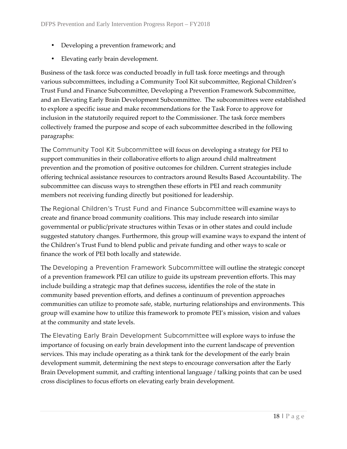- Developing a prevention framework; and
- Elevating early brain development.

Business of the task force was conducted broadly in full task force meetings and through various subcommittees, including a Community Tool Kit subcommittee, Regional Children's Trust Fund and Finance Subcommittee, Developing a Prevention Framework Subcommittee, and an Elevating Early Brain Development Subcommittee. The subcommittees were established to explore a specific issue and make recommendations for the Task Force to approve for inclusion in the statutorily required report to the Commissioner. The task force members collectively framed the purpose and scope of each subcommittee described in the following paragraphs:

The *Community Tool Kit Subcommittee* will focus on developing a strategy for PEI to support communities in their collaborative efforts to align around child maltreatment prevention and the promotion of positive outcomes for children. Current strategies include offering technical assistance resources to contractors around Results Based Accountability. The subcommittee can discuss ways to strengthen these efforts in PEI and reach community members not receiving funding directly but positioned for leadership.

The *Regional Children's Trust Fund and Finance Subcommittee* will examine ways to create and finance broad community coalitions. This may include research into similar governmental or public/private structures within Texas or in other states and could include suggested statutory changes. Furthermore, this group will examine ways to expand the intent of the Children's Trust Fund to blend public and private funding and other ways to scale or finance the work of PEI both locally and statewide.

The *Developing a Prevention Framework Subcommittee* will outline the strategic concept of a prevention framework PEI can utilize to guide its upstream prevention efforts. This may include building a strategic map that defines success, identifies the role of the state in community based prevention efforts, and defines a continuum of prevention approaches communities can utilize to promote safe, stable, nurturing relationships and environments. This group will examine how to utilize this framework to promote PEI's mission, vision and values at the community and state levels.

The *Elevating Early Brain Development Subcommittee* will explore ways to infuse the importance of focusing on early brain development into the current landscape of prevention services. This may include operating as a think tank for the development of the early brain development summit, determining the next steps to encourage conversation after the Early Brain Development summit, and crafting intentional language / talking points that can be used cross disciplines to focus efforts on elevating early brain development.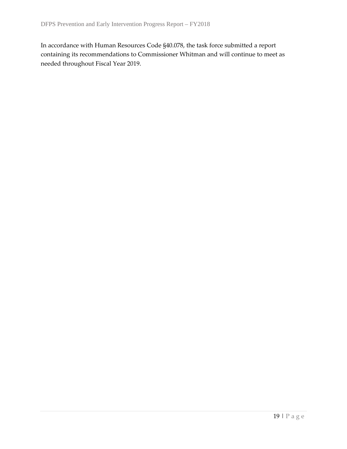In accordance with Human Resources Code §40.078, the task force submitted a report containing its recommendations to Commissioner Whitman and will continue to meet as needed throughout Fiscal Year 2019.